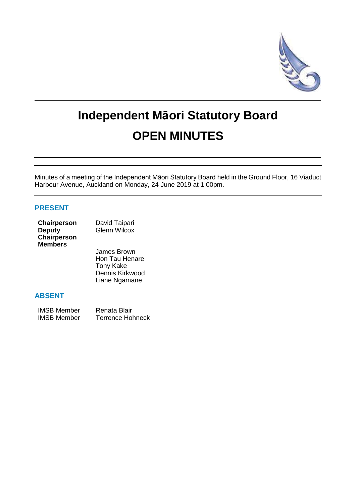

# **Independent Māori Statutory Board OPEN MINUTES**

Minutes of a meeting of the Independent Māori Statutory Board held in the Ground Floor, 16 Viaduct Harbour Avenue, Auckland on Monday, 24 June 2019 at 1.00pm.

## **PRESENT**

| Chairperson    | David Taipari       |
|----------------|---------------------|
| <b>Deputy</b>  | <b>Glenn Wilcox</b> |
| Chairperson    |                     |
| <b>Members</b> |                     |

James Brown Hon Tau Henare Tony Kake Dennis Kirkwood Liane Ngamane

## **ABSENT**

| <b>IMSB Member</b> | Renata Blair            |
|--------------------|-------------------------|
| <b>IMSB Member</b> | <b>Terrence Hohneck</b> |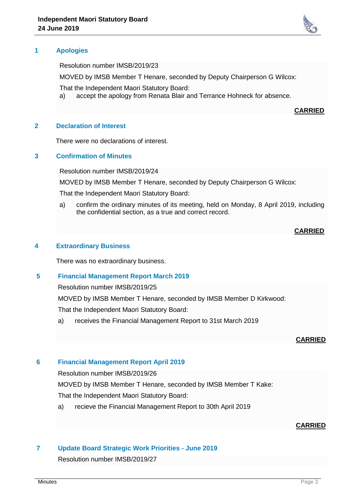

Resolution number IMSB/2019/23

MOVED by IMSB Member T Henare, seconded by Deputy Chairperson G Wilcox:

That the Independent Maori Statutory Board:

a) accept the apology from Renata Blair and Terrance Hohneck for absence.

## **CARRIED**

## **2 Declaration of Interest**

There were no declarations of interest.

## **3 Confirmation of Minutes**

Resolution number IMSB/2019/24

MOVED by IMSB Member T Henare, seconded by Deputy Chairperson G Wilcox:

That the Independent Maori Statutory Board:

a) confirm the ordinary minutes of its meeting, held on Monday, 8 April 2019, including the confidential section, as a true and correct record.

## **CARRIED**

## **4 Extraordinary Business**

There was no extraordinary business.

## **5 Financial Management Report March 2019**

Resolution number IMSB/2019/25

MOVED by IMSB Member T Henare, seconded by IMSB Member D Kirkwood:

That the Independent Maori Statutory Board:

a) receives the Financial Management Report to 31st March 2019

#### **CARRIED**

#### **6 Financial Management Report April 2019**

Resolution number IMSB/2019/26

MOVED by IMSB Member T Henare, seconded by IMSB Member T Kake:

That the Independent Maori Statutory Board:

a) recieve the Financial Management Report to 30th April 2019

## **CARRIED**

## **7 Update Board Strategic Work Priorities - June 2019**

Resolution number IMSB/2019/27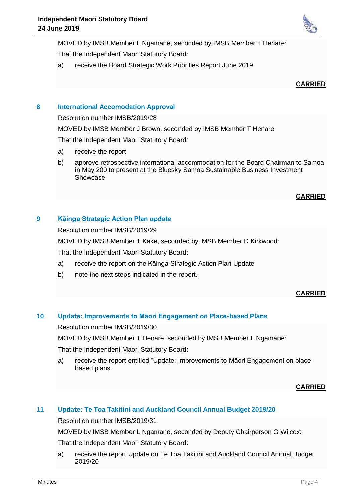MOVED by IMSB Member L Ngamane, seconded by IMSB Member T Henare:

That the Independent Maori Statutory Board:

a) receive the Board Strategic Work Priorities Report June 2019



# **8 International Accomodation Approval**

Resolution number IMSB/2019/28

MOVED by IMSB Member J Brown, seconded by IMSB Member T Henare:

That the Independent Maori Statutory Board:

- a) receive the report
- b) approve retrospective international accommodation for the Board Chairman to Samoa in May 209 to present at the Bluesky Samoa Sustainable Business Investment Showcase

## **CARRIED**

# **9 Kāinga Strategic Action Plan update**

Resolution number IMSB/2019/29

MOVED by IMSB Member T Kake, seconded by IMSB Member D Kirkwood:

That the Independent Maori Statutory Board:

- a) receive the report on the Kāinga Strategic Action Plan Update
- b) note the next steps indicated in the report.

## **CARRIED**

# **10 Update: Improvements to Māori Engagement on Place-based Plans**

Resolution number IMSB/2019/30

MOVED by IMSB Member T Henare, seconded by IMSB Member L Ngamane:

That the Independent Maori Statutory Board:

a) receive the report entitled "Update: Improvements to Māori Engagement on placebased plans.

## **CARRIED**

# **11 Update: Te Toa Takitini and Auckland Council Annual Budget 2019/20**

Resolution number IMSB/2019/31

MOVED by IMSB Member L Ngamane, seconded by Deputy Chairperson G Wilcox: That the Independent Maori Statutory Board:

a) receive the report Update on Te Toa Takitini and Auckland Council Annual Budget 2019/20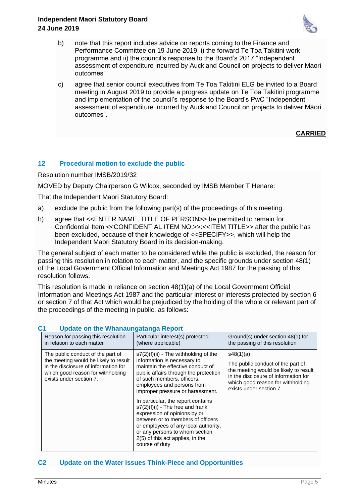

- b) note that this report includes advice on reports coming to the Finance and Performance Committee on 19 June 2019: i) the forward Te Toa Takitini work programme and ii) the council's response to the Board's 2017 "Independent assessment of expenditure incurred by Auckland Council on projects to deliver Maori outcomes"
- c) agree that senior council executives from Te Toa Takitini ELG be invited to a Board meeting in August 2019 to provide a progress update on Te Toa Takitini programme and implementation of the council's response to the Board's PwC "Independent assessment of expenditure incurred by Auckland Council on projects to deliver Māori outcomes".

## **CARRIED**

# **12 Procedural motion to exclude the public**

Resolution number IMSB/2019/32

MOVED by Deputy Chairperson G Wilcox, seconded by IMSB Member T Henare:

That the Independent Maori Statutory Board:

- a) exclude the public from the following part(s) of the proceedings of this meeting.
- b) agree that <<ENTER NAME, TITLE OF PERSON>> be permitted to remain for Confidential Item <<CONFIDENTIAL ITEM NO.>>:<<ITEM TITLE>> after the public has been excluded, because of their knowledge of <<SPECIFY>>, which will help the Independent Maori Statutory Board in its decision-making.

The general subject of each matter to be considered while the public is excluded, the reason for passing this resolution in relation to each matter, and the specific grounds under section 48(1) of the Local Government Official Information and Meetings Act 1987 for the passing of this resolution follows.

This resolution is made in reliance on section 48(1)(a) of the Local Government Official Information and Meetings Act 1987 and the particular interest or interests protected by section 6 or section 7 of that Act which would be prejudiced by the holding of the whole or relevant part of the proceedings of the meeting in public, as follows:

| <b>Opdate on the whandungatanga Report</b>                                                                                                                                         |                                                                                                                                                                                                                                                                                                                                                                                                                                                                                 |                                                                                                                                                                                                 |  |
|------------------------------------------------------------------------------------------------------------------------------------------------------------------------------------|---------------------------------------------------------------------------------------------------------------------------------------------------------------------------------------------------------------------------------------------------------------------------------------------------------------------------------------------------------------------------------------------------------------------------------------------------------------------------------|-------------------------------------------------------------------------------------------------------------------------------------------------------------------------------------------------|--|
| Reason for passing this resolution<br>in relation to each matter                                                                                                                   | Particular interest(s) protected<br>(where applicable)                                                                                                                                                                                                                                                                                                                                                                                                                          | Ground(s) under section 48(1) for<br>the passing of this resolution                                                                                                                             |  |
| The public conduct of the part of<br>the meeting would be likely to result<br>in the disclosure of information for<br>which good reason for withholding<br>exists under section 7. | $s7(2)(f)(ii)$ - The withholding of the<br>information is necessary to<br>maintain the effective conduct of<br>public affairs through the protection<br>of such members, officers,<br>employees and persons from<br>improper pressure or harassment.<br>In particular, the report contains<br>$s7(2)(f)(i)$ - The free and frank<br>expression of opinions by or<br>between or to members of officers<br>or employees of any local authority,<br>or any persons to whom section | s48(1)(a)<br>The public conduct of the part of<br>the meeting would be likely to result<br>in the disclosure of information for<br>which good reason for withholding<br>exists under section 7. |  |
|                                                                                                                                                                                    | 2(5) of this act applies, in the<br>course of duty                                                                                                                                                                                                                                                                                                                                                                                                                              |                                                                                                                                                                                                 |  |

## **C1 Update on the Whanaungatanga Report**

## **C2 Update on the Water Issues Think-Piece and Opportunities**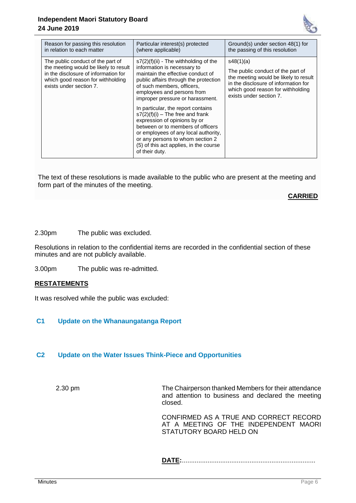## **Independent Maori Statutory Board 24 June 2019**



| Reason for passing this resolution<br>in relation to each matter                                                                                                                   | Particular interest(s) protected<br>(where applicable)                                                                                                                                                                                                                                | Ground(s) under section 48(1) for<br>the passing of this resolution                                                                                                                             |
|------------------------------------------------------------------------------------------------------------------------------------------------------------------------------------|---------------------------------------------------------------------------------------------------------------------------------------------------------------------------------------------------------------------------------------------------------------------------------------|-------------------------------------------------------------------------------------------------------------------------------------------------------------------------------------------------|
| The public conduct of the part of<br>the meeting would be likely to result<br>in the disclosure of information for<br>which good reason for withholding<br>exists under section 7. | $s7(2)(f)(ii)$ - The withholding of the<br>information is necessary to<br>maintain the effective conduct of<br>public affairs through the protection<br>of such members, officers.<br>employees and persons from<br>improper pressure or harassment.                                  | s48(1)(a)<br>The public conduct of the part of<br>the meeting would be likely to result<br>in the disclosure of information for<br>which good reason for withholding<br>exists under section 7. |
|                                                                                                                                                                                    | In particular, the report contains<br>$s7(2)(f)(i)$ – The free and frank<br>expression of opinions by or<br>between or to members of officers<br>or employees of any local authority,<br>or any persons to whom section 2<br>(5) of this act applies, in the course<br>of their duty. |                                                                                                                                                                                                 |

The text of these resolutions is made available to the public who are present at the meeting and form part of the minutes of the meeting.

## **CARRIED**

2.30pm The public was excluded.

Resolutions in relation to the confidential items are recorded in the confidential section of these minutes and are not publicly available.

3.00pm The public was re-admitted.

#### **RESTATEMENTS**

It was resolved while the public was excluded:

# **C1 Update on the Whanaungatanga Report**

## **C2 Update on the Water Issues Think-Piece and Opportunities**

2.30 pm The Chairperson thanked Members for their attendance and attention to business and declared the meeting closed.

> CONFIRMED AS A TRUE AND CORRECT RECORD AT A MEETING OF THE INDEPENDENT MAORI STATUTORY BOARD HELD ON

**DATE:**.........................................................................